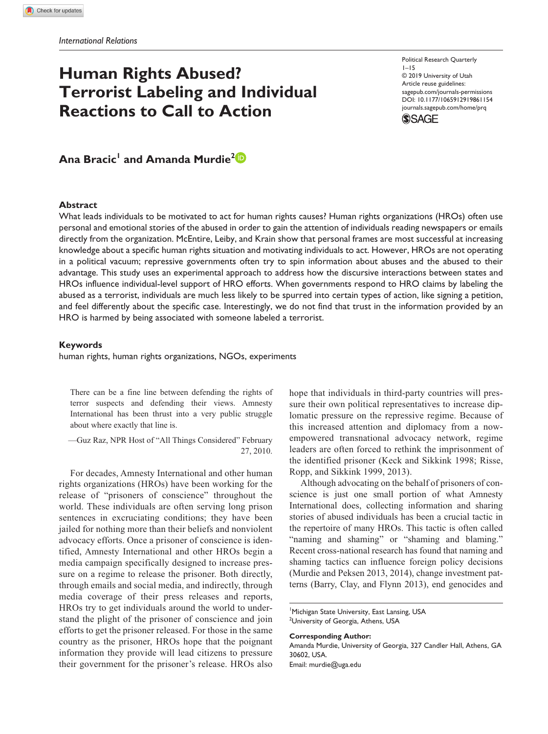# **Human Rights Abused? Terrorist Labeling and Individual Reactions to Call to Action**

Political Research Quarterly 1–15 © 2019 University of Utah Article reuse guidelines: [sagepub.com/journals-permissions](https://us.sagepub.com/en-us/journals-permissions) https://doi.org/10.1177/1065912919861154 DOI: 10.1177/1065912919861154 [journals.sagepub.com/home/prq](https://journals.sagepub.com/home/prq) **SSAGE** 

 $\bm{\mathsf{Ana}}$  Bracic<sup>1</sup> and Amanda Murdie<sup>2</sup>

#### **Abstract**

What leads individuals to be motivated to act for human rights causes? Human rights organizations (HROs) often use personal and emotional stories of the abused in order to gain the attention of individuals reading newspapers or emails directly from the organization. McEntire, Leiby, and Krain show that personal frames are most successful at increasing knowledge about a specific human rights situation and motivating individuals to act. However, HROs are not operating in a political vacuum; repressive governments often try to spin information about abuses and the abused to their advantage. This study uses an experimental approach to address how the discursive interactions between states and HROs influence individual-level support of HRO efforts. When governments respond to HRO claims by labeling the abused as a terrorist, individuals are much less likely to be spurred into certain types of action, like signing a petition, and feel differently about the specific case. Interestingly, we do not find that trust in the information provided by an HRO is harmed by being associated with someone labeled a terrorist.

## **Keywords**

human rights, human rights organizations, NGOs, experiments

There can be a fine line between defending the rights of terror suspects and defending their views. Amnesty International has been thrust into a very public struggle about where exactly that line is.

—Guz Raz, NPR Host of "All Things Considered" February 27, 2010.

For decades, Amnesty International and other human rights organizations (HROs) have been working for the release of "prisoners of conscience" throughout the world. These individuals are often serving long prison sentences in excruciating conditions; they have been jailed for nothing more than their beliefs and nonviolent advocacy efforts. Once a prisoner of conscience is identified, Amnesty International and other HROs begin a media campaign specifically designed to increase pressure on a regime to release the prisoner. Both directly, through emails and social media, and indirectly, through media coverage of their press releases and reports, HROs try to get individuals around the world to understand the plight of the prisoner of conscience and join efforts to get the prisoner released. For those in the same country as the prisoner, HROs hope that the poignant information they provide will lead citizens to pressure their government for the prisoner's release. HROs also hope that individuals in third-party countries will pressure their own political representatives to increase diplomatic pressure on the repressive regime. Because of this increased attention and diplomacy from a nowempowered transnational advocacy network, regime leaders are often forced to rethink the imprisonment of the identified prisoner (Keck and Sikkink 1998; Risse, Ropp, and Sikkink 1999, 2013).

Although advocating on the behalf of prisoners of conscience is just one small portion of what Amnesty International does, collecting information and sharing stories of abused individuals has been a crucial tactic in the repertoire of many HROs. This tactic is often called "naming and shaming" or "shaming and blaming." Recent cross-national research has found that naming and shaming tactics can influence foreign policy decisions (Murdie and Peksen 2013, 2014), change investment patterns (Barry, Clay, and Flynn 2013), end genocides and

#### **Corresponding Author:**

Amanda Murdie, University of Georgia, 327 Candler Hall, Athens, GA 30602, USA.

Email: [murdie@uga.edu](mailto:murdie@uga.edu)

<sup>&</sup>lt;sup>1</sup>Michigan State University, East Lansing, USA <sup>2</sup>University of Georgia, Athens, USA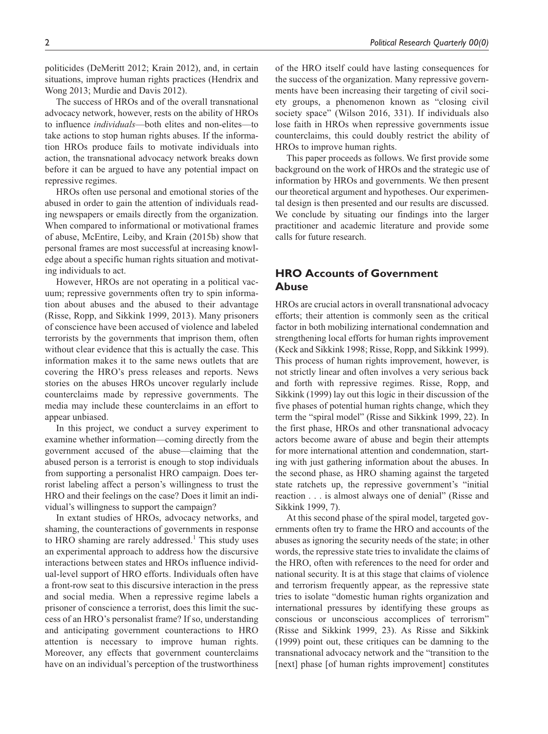politicides (DeMeritt 2012; Krain 2012), and, in certain situations, improve human rights practices (Hendrix and Wong 2013; Murdie and Davis 2012).

The success of HROs and of the overall transnational advocacy network, however, rests on the ability of HROs to influence *individuals*—both elites and non-elites—to take actions to stop human rights abuses. If the information HROs produce fails to motivate individuals into action, the transnational advocacy network breaks down before it can be argued to have any potential impact on repressive regimes.

HROs often use personal and emotional stories of the abused in order to gain the attention of individuals reading newspapers or emails directly from the organization. When compared to informational or motivational frames of abuse, McEntire, Leiby, and Krain (2015b) show that personal frames are most successful at increasing knowledge about a specific human rights situation and motivating individuals to act.

However, HROs are not operating in a political vacuum; repressive governments often try to spin information about abuses and the abused to their advantage (Risse, Ropp, and Sikkink 1999, 2013). Many prisoners of conscience have been accused of violence and labeled terrorists by the governments that imprison them, often without clear evidence that this is actually the case. This information makes it to the same news outlets that are covering the HRO's press releases and reports. News stories on the abuses HROs uncover regularly include counterclaims made by repressive governments. The media may include these counterclaims in an effort to appear unbiased.

In this project, we conduct a survey experiment to examine whether information—coming directly from the government accused of the abuse—claiming that the abused person is a terrorist is enough to stop individuals from supporting a personalist HRO campaign. Does terrorist labeling affect a person's willingness to trust the HRO and their feelings on the case? Does it limit an individual's willingness to support the campaign?

In extant studies of HROs, advocacy networks, and shaming, the counteractions of governments in response to HRO shaming are rarely addressed.<sup>1</sup> This study uses an experimental approach to address how the discursive interactions between states and HROs influence individual-level support of HRO efforts. Individuals often have a front-row seat to this discursive interaction in the press and social media. When a repressive regime labels a prisoner of conscience a terrorist, does this limit the success of an HRO's personalist frame? If so, understanding and anticipating government counteractions to HRO attention is necessary to improve human rights. Moreover, any effects that government counterclaims have on an individual's perception of the trustworthiness

of the HRO itself could have lasting consequences for the success of the organization. Many repressive governments have been increasing their targeting of civil society groups, a phenomenon known as "closing civil society space" (Wilson 2016, 331). If individuals also lose faith in HROs when repressive governments issue counterclaims, this could doubly restrict the ability of HROs to improve human rights.

This paper proceeds as follows. We first provide some background on the work of HROs and the strategic use of information by HROs and governments. We then present our theoretical argument and hypotheses. Our experimental design is then presented and our results are discussed. We conclude by situating our findings into the larger practitioner and academic literature and provide some calls for future research.

# **HRO Accounts of Government Abuse**

HROs are crucial actors in overall transnational advocacy efforts; their attention is commonly seen as the critical factor in both mobilizing international condemnation and strengthening local efforts for human rights improvement (Keck and Sikkink 1998; Risse, Ropp, and Sikkink 1999). This process of human rights improvement, however, is not strictly linear and often involves a very serious back and forth with repressive regimes. Risse, Ropp, and Sikkink (1999) lay out this logic in their discussion of the five phases of potential human rights change, which they term the "spiral model" (Risse and Sikkink 1999, 22). In the first phase, HROs and other transnational advocacy actors become aware of abuse and begin their attempts for more international attention and condemnation, starting with just gathering information about the abuses. In the second phase, as HRO shaming against the targeted state ratchets up, the repressive government's "initial reaction . . . is almost always one of denial" (Risse and Sikkink 1999, 7).

At this second phase of the spiral model, targeted governments often try to frame the HRO and accounts of the abuses as ignoring the security needs of the state; in other words, the repressive state tries to invalidate the claims of the HRO, often with references to the need for order and national security. It is at this stage that claims of violence and terrorism frequently appear, as the repressive state tries to isolate "domestic human rights organization and international pressures by identifying these groups as conscious or unconscious accomplices of terrorism" (Risse and Sikkink 1999, 23). As Risse and Sikkink (1999) point out, these critiques can be damning to the transnational advocacy network and the "transition to the [next] phase [of human rights improvement] constitutes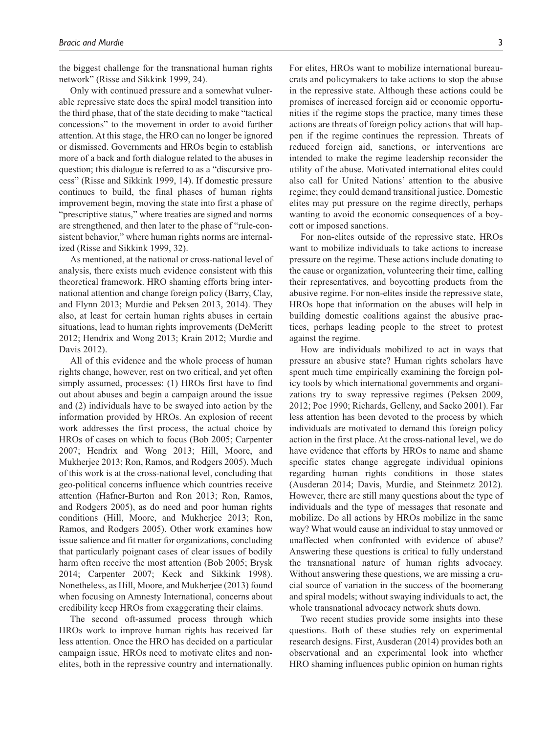the biggest challenge for the transnational human rights network" (Risse and Sikkink 1999, 24).

Only with continued pressure and a somewhat vulnerable repressive state does the spiral model transition into the third phase, that of the state deciding to make "tactical concessions" to the movement in order to avoid further attention. At this stage, the HRO can no longer be ignored or dismissed. Governments and HROs begin to establish more of a back and forth dialogue related to the abuses in question; this dialogue is referred to as a "discursive process" (Risse and Sikkink 1999, 14). If domestic pressure continues to build, the final phases of human rights improvement begin, moving the state into first a phase of "prescriptive status," where treaties are signed and norms are strengthened, and then later to the phase of "rule-consistent behavior," where human rights norms are internalized (Risse and Sikkink 1999, 32).

As mentioned, at the national or cross-national level of analysis, there exists much evidence consistent with this theoretical framework. HRO shaming efforts bring international attention and change foreign policy (Barry, Clay, and Flynn 2013; Murdie and Peksen 2013, 2014). They also, at least for certain human rights abuses in certain situations, lead to human rights improvements (DeMeritt 2012; Hendrix and Wong 2013; Krain 2012; Murdie and Davis 2012).

All of this evidence and the whole process of human rights change, however, rest on two critical, and yet often simply assumed, processes: (1) HROs first have to find out about abuses and begin a campaign around the issue and (2) individuals have to be swayed into action by the information provided by HROs. An explosion of recent work addresses the first process, the actual choice by HROs of cases on which to focus (Bob 2005; Carpenter 2007; Hendrix and Wong 2013; Hill, Moore, and Mukherjee 2013; Ron, Ramos, and Rodgers 2005). Much of this work is at the cross-national level, concluding that geo-political concerns influence which countries receive attention (Hafner-Burton and Ron 2013; Ron, Ramos, and Rodgers 2005), as do need and poor human rights conditions (Hill, Moore, and Mukherjee 2013; Ron, Ramos, and Rodgers 2005). Other work examines how issue salience and fit matter for organizations, concluding that particularly poignant cases of clear issues of bodily harm often receive the most attention (Bob 2005; Brysk 2014; Carpenter 2007; Keck and Sikkink 1998). Nonetheless, as Hill, Moore, and Mukherjee (2013) found when focusing on Amnesty International, concerns about credibility keep HROs from exaggerating their claims.

The second oft-assumed process through which HROs work to improve human rights has received far less attention. Once the HRO has decided on a particular campaign issue, HROs need to motivate elites and nonelites, both in the repressive country and internationally. For elites, HROs want to mobilize international bureaucrats and policymakers to take actions to stop the abuse in the repressive state. Although these actions could be promises of increased foreign aid or economic opportunities if the regime stops the practice, many times these actions are threats of foreign policy actions that will happen if the regime continues the repression. Threats of reduced foreign aid, sanctions, or interventions are intended to make the regime leadership reconsider the utility of the abuse. Motivated international elites could also call for United Nations' attention to the abusive regime; they could demand transitional justice. Domestic elites may put pressure on the regime directly, perhaps wanting to avoid the economic consequences of a boycott or imposed sanctions.

For non-elites outside of the repressive state, HROs want to mobilize individuals to take actions to increase pressure on the regime. These actions include donating to the cause or organization, volunteering their time, calling their representatives, and boycotting products from the abusive regime. For non-elites inside the repressive state, HROs hope that information on the abuses will help in building domestic coalitions against the abusive practices, perhaps leading people to the street to protest against the regime.

How are individuals mobilized to act in ways that pressure an abusive state? Human rights scholars have spent much time empirically examining the foreign policy tools by which international governments and organizations try to sway repressive regimes (Peksen 2009, 2012; Poe 1990; Richards, Gelleny, and Sacko 2001). Far less attention has been devoted to the process by which individuals are motivated to demand this foreign policy action in the first place. At the cross-national level, we do have evidence that efforts by HROs to name and shame specific states change aggregate individual opinions regarding human rights conditions in those states (Ausderan 2014; Davis, Murdie, and Steinmetz 2012). However, there are still many questions about the type of individuals and the type of messages that resonate and mobilize. Do all actions by HROs mobilize in the same way? What would cause an individual to stay unmoved or unaffected when confronted with evidence of abuse? Answering these questions is critical to fully understand the transnational nature of human rights advocacy. Without answering these questions, we are missing a crucial source of variation in the success of the boomerang and spiral models; without swaying individuals to act, the whole transnational advocacy network shuts down.

Two recent studies provide some insights into these questions. Both of these studies rely on experimental research designs. First, Ausderan (2014) provides both an observational and an experimental look into whether HRO shaming influences public opinion on human rights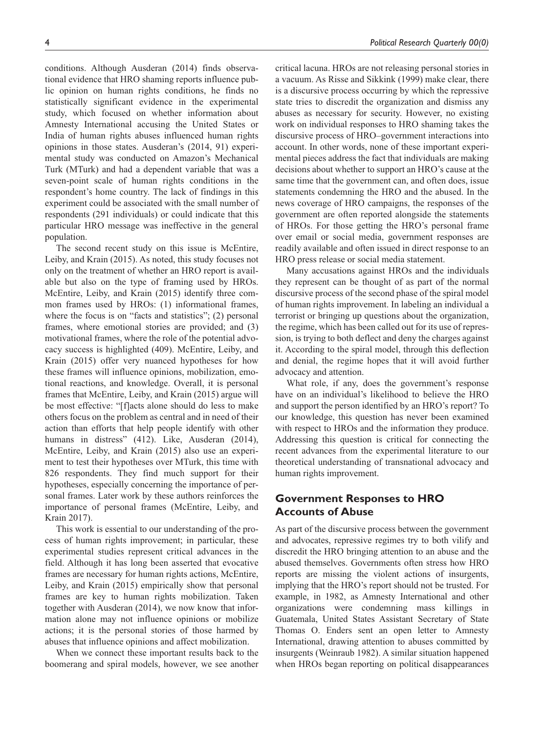conditions. Although Ausderan (2014) finds observational evidence that HRO shaming reports influence public opinion on human rights conditions, he finds no statistically significant evidence in the experimental study, which focused on whether information about Amnesty International accusing the United States or India of human rights abuses influenced human rights opinions in those states. Ausderan's (2014, 91) experimental study was conducted on Amazon's Mechanical Turk (MTurk) and had a dependent variable that was a seven-point scale of human rights conditions in the respondent's home country. The lack of findings in this experiment could be associated with the small number of respondents (291 individuals) or could indicate that this particular HRO message was ineffective in the general population.

The second recent study on this issue is McEntire, Leiby, and Krain (2015). As noted, this study focuses not only on the treatment of whether an HRO report is available but also on the type of framing used by HROs. McEntire, Leiby, and Krain (2015) identify three common frames used by HROs: (1) informational frames, where the focus is on "facts and statistics"; (2) personal frames, where emotional stories are provided; and (3) motivational frames, where the role of the potential advocacy success is highlighted (409). McEntire, Leiby, and Krain (2015) offer very nuanced hypotheses for how these frames will influence opinions, mobilization, emotional reactions, and knowledge. Overall, it is personal frames that McEntire, Leiby, and Krain (2015) argue will be most effective: "[f]acts alone should do less to make others focus on the problem as central and in need of their action than efforts that help people identify with other humans in distress" (412). Like, Ausderan (2014), McEntire, Leiby, and Krain (2015) also use an experiment to test their hypotheses over MTurk, this time with 826 respondents. They find much support for their hypotheses, especially concerning the importance of personal frames. Later work by these authors reinforces the importance of personal frames (McEntire, Leiby, and Krain 2017).

This work is essential to our understanding of the process of human rights improvement; in particular, these experimental studies represent critical advances in the field. Although it has long been asserted that evocative frames are necessary for human rights actions, McEntire, Leiby, and Krain (2015) empirically show that personal frames are key to human rights mobilization. Taken together with Ausderan (2014), we now know that information alone may not influence opinions or mobilize actions; it is the personal stories of those harmed by abuses that influence opinions and affect mobilization.

When we connect these important results back to the boomerang and spiral models, however, we see another critical lacuna. HROs are not releasing personal stories in a vacuum. As Risse and Sikkink (1999) make clear, there is a discursive process occurring by which the repressive state tries to discredit the organization and dismiss any abuses as necessary for security. However, no existing work on individual responses to HRO shaming takes the discursive process of HRO–government interactions into account. In other words, none of these important experimental pieces address the fact that individuals are making decisions about whether to support an HRO's cause at the same time that the government can, and often does, issue statements condemning the HRO and the abused. In the news coverage of HRO campaigns, the responses of the government are often reported alongside the statements of HROs. For those getting the HRO's personal frame over email or social media, government responses are readily available and often issued in direct response to an HRO press release or social media statement.

Many accusations against HROs and the individuals they represent can be thought of as part of the normal discursive process of the second phase of the spiral model of human rights improvement. In labeling an individual a terrorist or bringing up questions about the organization, the regime, which has been called out for its use of repression, is trying to both deflect and deny the charges against it. According to the spiral model, through this deflection and denial, the regime hopes that it will avoid further advocacy and attention.

What role, if any, does the government's response have on an individual's likelihood to believe the HRO and support the person identified by an HRO's report? To our knowledge, this question has never been examined with respect to HROs and the information they produce. Addressing this question is critical for connecting the recent advances from the experimental literature to our theoretical understanding of transnational advocacy and human rights improvement.

# **Government Responses to HRO Accounts of Abuse**

As part of the discursive process between the government and advocates, repressive regimes try to both vilify and discredit the HRO bringing attention to an abuse and the abused themselves. Governments often stress how HRO reports are missing the violent actions of insurgents, implying that the HRO's report should not be trusted. For example, in 1982, as Amnesty International and other organizations were condemning mass killings in Guatemala, United States Assistant Secretary of State Thomas O. Enders sent an open letter to Amnesty International, drawing attention to abuses committed by insurgents (Weinraub 1982). A similar situation happened when HROs began reporting on political disappearances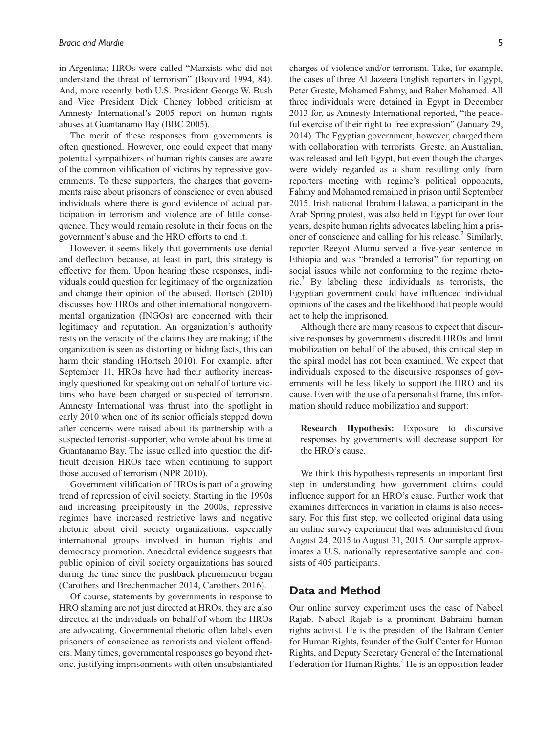in Argentina; HROs were called "Marxists who did not understand the threat of terrorism" (Bouvard 1994, 84). And, more recently, both U.S. President George W. Bush and Vice President Dick Cheney lobbed criticism at Amnesty International's 2005 report on human rights abuses at Guantanamo Bay (BBC 2005).

The merit of these responses from governments is often questioned. However, one could expect that many potential sympathizers of human rights causes are aware of the common vilification of victims by repressive governments. To these supporters, the charges that governments raise about prisoners of conscience or even abused individuals where there is good evidence of actual participation in terrorism and violence are of little consequence. They would remain resolute in their focus on the government's abuse and the HRO efforts to end it.

However, it seems likely that governments use denial and deflection because, at least in part, this strategy is effective for them. Upon hearing these responses, individuals could question for legitimacy of the organization and change their opinion of the abused. Hortsch (2010) discusses how HROs and other international nongovernmental organization (INGOs) are concerned with their legitimacy and reputation. An organization's authority rests on the veracity of the claims they are making; if the organization is seen as distorting or hiding facts, this can harm their standing (Hortsch 2010). For example, after September 11, HROs have had their authority increasingly questioned for speaking out on behalf of torture victims who have been charged or suspected of terrorism. Amnesty International was thrust into the spotlight in early 2010 when one of its senior officials stepped down after concerns were raised about its partnership with a suspected terrorist-supporter, who wrote about his time at Guantanamo Bay. The issue called into question the difficult decision HROs face when continuing to support those accused of terrorism (NPR 2010).

Government vilification of HROs is part of a growing trend of repression of civil society. Starting in the 1990s and increasing precipitously in the 2000s, repressive regimes have increased restrictive laws and negative rhetoric about civil society organizations, especially international groups involved in human rights and democracy promotion. Anecdotal evidence suggests that public opinion of civil society organizations has soured during the time since the pushback phenomenon began (Carothers and Brechenmacher 2014, Carothers 2016).

Of course, statements by governments in response to HRO shaming are not just directed at HROs, they are also directed at the individuals on behalf of whom the HROs are advocating. Governmental rhetoric often labels even prisoners of conscience as terrorists and violent offenders. Many times, governmental responses go beyond rhetoric, justifying imprisonments with often unsubstantiated

charges of violence and/or terrorism. Take, for example, the cases of three Al Jazeera English reporters in Egypt, Peter Greste, Mohamed Fahmy, and Baher Mohamed. All three individuals were detained in Egypt in December 2013 for, as Amnesty International reported, "the peaceful exercise of their right to free expression" (January 29, 2014). The Egyptian government, however, charged them with collaboration with terrorists. Greste, an Australian, was released and left Egypt, but even though the charges were widely regarded as a sham resulting only from reporters meeting with regime's political opponents, Fahmy and Mohamed remained in prison until September 2015. Irish national Ibrahim Halawa, a participant in the Arab Spring protest, was also held in Egypt for over four years, despite human rights advocates labeling him a prisoner of conscience and calling for his release.<sup>2</sup> Similarly, reporter Reeyot Alumu served a five-year sentence in Ethiopia and was "branded a terrorist" for reporting on social issues while not conforming to the regime rhetoric.3 By labeling these individuals as terrorists, the Egyptian government could have influenced individual opinions of the cases and the likelihood that people would act to help the imprisoned.

Although there are many reasons to expect that discursive responses by governments discredit HROs and limit mobilization on behalf of the abused, this critical step in the spiral model has not been examined. We expect that individuals exposed to the discursive responses of governments will be less likely to support the HRO and its cause. Even with the use of a personalist frame, this information should reduce mobilization and support:

**Research Hypothesis:** Exposure to discursive responses by governments will decrease support for the HRO's cause.

We think this hypothesis represents an important first step in understanding how government claims could influence support for an HRO's cause. Further work that examines differences in variation in claims is also necessary. For this first step, we collected original data using an online survey experiment that was administered from August 24, 2015 to August 31, 2015. Our sample approximates a U.S. nationally representative sample and consists of 405 participants.

# **Data and Method**

Our online survey experiment uses the case of Nabeel Rajab. Nabeel Rajab is a prominent Bahraini human rights activist. He is the president of the Bahrain Center for Human Rights, founder of the Gulf Center for Human Rights, and Deputy Secretary General of the International Federation for Human Rights.<sup>4</sup> He is an opposition leader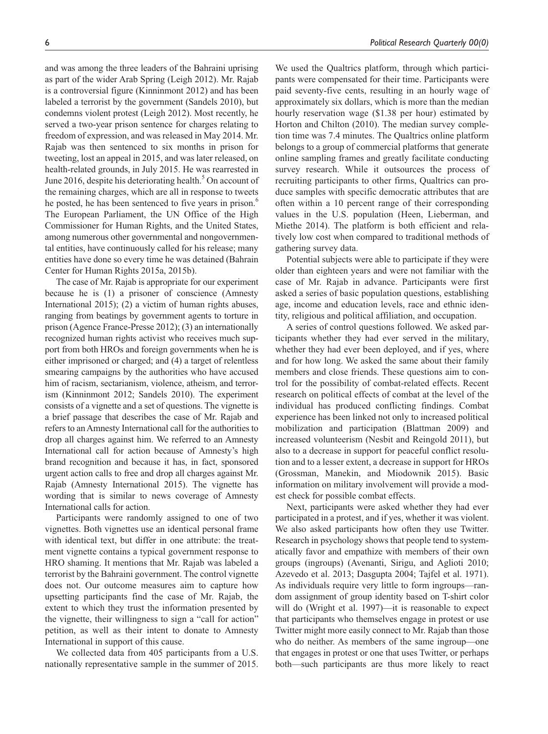and was among the three leaders of the Bahraini uprising as part of the wider Arab Spring (Leigh 2012). Mr. Rajab is a controversial figure (Kinninmont 2012) and has been labeled a terrorist by the government (Sandels 2010), but condemns violent protest (Leigh 2012). Most recently, he served a two-year prison sentence for charges relating to freedom of expression, and was released in May 2014. Mr. Rajab was then sentenced to six months in prison for tweeting, lost an appeal in 2015, and was later released, on health-related grounds, in July 2015. He was rearrested in June 2016, despite his deteriorating health.<sup>5</sup> On account of the remaining charges, which are all in response to tweets he posted, he has been sentenced to five years in prison.<sup>6</sup> The European Parliament, the UN Office of the High Commissioner for Human Rights, and the United States, among numerous other governmental and nongovernmental entities, have continuously called for his release; many entities have done so every time he was detained (Bahrain Center for Human Rights 2015a, 2015b).

The case of Mr. Rajab is appropriate for our experiment because he is (1) a prisoner of conscience (Amnesty International 2015); (2) a victim of human rights abuses, ranging from beatings by government agents to torture in prison (Agence France-Presse 2012); (3) an internationally recognized human rights activist who receives much support from both HROs and foreign governments when he is either imprisoned or charged; and (4) a target of relentless smearing campaigns by the authorities who have accused him of racism, sectarianism, violence, atheism, and terrorism (Kinninmont 2012; Sandels 2010). The experiment consists of a vignette and a set of questions. The vignette is a brief passage that describes the case of Mr. Rajab and refers to an Amnesty International call for the authorities to drop all charges against him. We referred to an Amnesty International call for action because of Amnesty's high brand recognition and because it has, in fact, sponsored urgent action calls to free and drop all charges against Mr. Rajab (Amnesty International 2015). The vignette has wording that is similar to news coverage of Amnesty International calls for action.

Participants were randomly assigned to one of two vignettes. Both vignettes use an identical personal frame with identical text, but differ in one attribute: the treatment vignette contains a typical government response to HRO shaming. It mentions that Mr. Rajab was labeled a terrorist by the Bahraini government. The control vignette does not. Our outcome measures aim to capture how upsetting participants find the case of Mr. Rajab, the extent to which they trust the information presented by the vignette, their willingness to sign a "call for action" petition, as well as their intent to donate to Amnesty International in support of this cause.

We collected data from 405 participants from a U.S. nationally representative sample in the summer of 2015.

We used the Qualtrics platform, through which participants were compensated for their time. Participants were paid seventy-five cents, resulting in an hourly wage of approximately six dollars, which is more than the median hourly reservation wage (\$1.38 per hour) estimated by Horton and Chilton (2010). The median survey completion time was 7.4 minutes. The Qualtrics online platform belongs to a group of commercial platforms that generate online sampling frames and greatly facilitate conducting survey research. While it outsources the process of recruiting participants to other firms, Qualtrics can produce samples with specific democratic attributes that are often within a 10 percent range of their corresponding values in the U.S. population (Heen, Lieberman, and Miethe 2014). The platform is both efficient and relatively low cost when compared to traditional methods of gathering survey data.

Potential subjects were able to participate if they were older than eighteen years and were not familiar with the case of Mr. Rajab in advance. Participants were first asked a series of basic population questions, establishing age, income and education levels, race and ethnic identity, religious and political affiliation, and occupation.

A series of control questions followed. We asked participants whether they had ever served in the military, whether they had ever been deployed, and if yes, where and for how long. We asked the same about their family members and close friends. These questions aim to control for the possibility of combat-related effects. Recent research on political effects of combat at the level of the individual has produced conflicting findings. Combat experience has been linked not only to increased political mobilization and participation (Blattman 2009) and increased volunteerism (Nesbit and Reingold 2011), but also to a decrease in support for peaceful conflict resolution and to a lesser extent, a decrease in support for HROs (Grossman, Manekin, and Miodownik 2015). Basic information on military involvement will provide a modest check for possible combat effects.

Next, participants were asked whether they had ever participated in a protest, and if yes, whether it was violent. We also asked participants how often they use Twitter. Research in psychology shows that people tend to systematically favor and empathize with members of their own groups (ingroups) (Avenanti, Sirigu, and Aglioti 2010; Azevedo et al. 2013; Dasgupta 2004; Tajfel et al. 1971). As individuals require very little to form ingroups—random assignment of group identity based on T-shirt color will do (Wright et al. 1997)—it is reasonable to expect that participants who themselves engage in protest or use Twitter might more easily connect to Mr. Rajab than those who do neither. As members of the same ingroup—one that engages in protest or one that uses Twitter, or perhaps both—such participants are thus more likely to react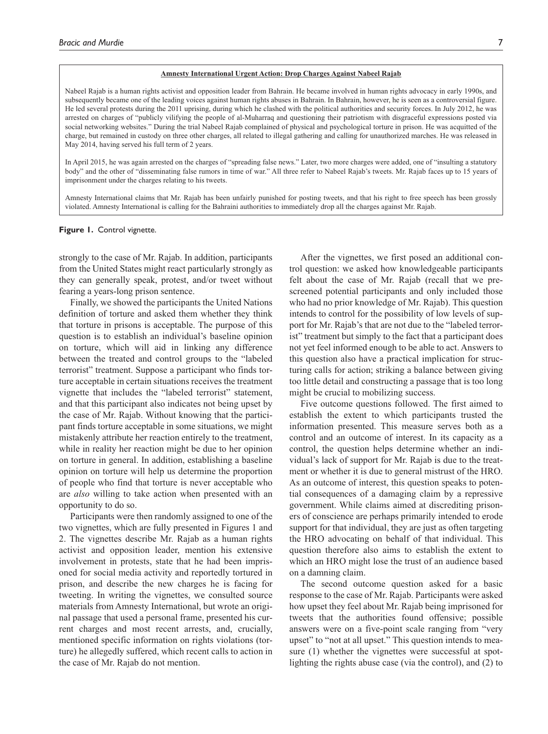#### **Amnesty International Urgent Action: Drop Charges Against Nabeel Rajab**

Nabeel Rajab is a human rights activist and opposition leader from Bahrain. He became involved in human rights advocacy in early 1990s, and subsequently became one of the leading voices against human rights abuses in Bahrain. In Bahrain, however, he is seen as a controversial figure. He led several protests during the 2011 uprising, during which he clashed with the political authorities and security forces. In July 2012, he was arrested on charges of "publicly vilifying the people of al-Muharraq and questioning their patriotism with disgraceful expressions posted via social networking websites." During the trial Nabeel Rajab complained of physical and psychological torture in prison. He was acquitted of the charge, but remained in custody on three other charges, all related to illegal gathering and calling for unauthorized marches. He was released in May 2014, having served his full term of 2 years.

In April 2015, he was again arrested on the charges of "spreading false news." Later, two more charges were added, one of "insulting a statutory body" and the other of "disseminating false rumors in time of war." All three refer to Nabeel Rajab's tweets. Mr. Rajab faces up to 15 years of imprisonment under the charges relating to his tweets.

Amnesty International claims that Mr. Rajab has been unfairly punished for posting tweets, and that his right to free speech has been grossly violated. Amnesty International is calling for the Bahraini authorities to immediately drop all the charges against Mr. Rajab.

**Figure 1.** Control vignette.

strongly to the case of Mr. Rajab. In addition, participants from the United States might react particularly strongly as they can generally speak, protest, and/or tweet without fearing a years-long prison sentence.

Finally, we showed the participants the United Nations definition of torture and asked them whether they think that torture in prisons is acceptable. The purpose of this question is to establish an individual's baseline opinion on torture, which will aid in linking any difference between the treated and control groups to the "labeled terrorist" treatment. Suppose a participant who finds torture acceptable in certain situations receives the treatment vignette that includes the "labeled terrorist" statement, and that this participant also indicates not being upset by the case of Mr. Rajab. Without knowing that the participant finds torture acceptable in some situations, we might mistakenly attribute her reaction entirely to the treatment, while in reality her reaction might be due to her opinion on torture in general. In addition, establishing a baseline opinion on torture will help us determine the proportion of people who find that torture is never acceptable who are *also* willing to take action when presented with an opportunity to do so.

Participants were then randomly assigned to one of the two vignettes, which are fully presented in Figures 1 and 2. The vignettes describe Mr. Rajab as a human rights activist and opposition leader, mention his extensive involvement in protests, state that he had been imprisoned for social media activity and reportedly tortured in prison, and describe the new charges he is facing for tweeting. In writing the vignettes, we consulted source materials from Amnesty International, but wrote an original passage that used a personal frame, presented his current charges and most recent arrests, and, crucially, mentioned specific information on rights violations (torture) he allegedly suffered, which recent calls to action in the case of Mr. Rajab do not mention.

After the vignettes, we first posed an additional control question: we asked how knowledgeable participants felt about the case of Mr. Rajab (recall that we prescreened potential participants and only included those who had no prior knowledge of Mr. Rajab). This question intends to control for the possibility of low levels of support for Mr. Rajab's that are not due to the "labeled terrorist" treatment but simply to the fact that a participant does not yet feel informed enough to be able to act. Answers to this question also have a practical implication for structuring calls for action; striking a balance between giving too little detail and constructing a passage that is too long might be crucial to mobilizing success.

Five outcome questions followed. The first aimed to establish the extent to which participants trusted the information presented. This measure serves both as a control and an outcome of interest. In its capacity as a control, the question helps determine whether an individual's lack of support for Mr. Rajab is due to the treatment or whether it is due to general mistrust of the HRO. As an outcome of interest, this question speaks to potential consequences of a damaging claim by a repressive government. While claims aimed at discrediting prisoners of conscience are perhaps primarily intended to erode support for that individual, they are just as often targeting the HRO advocating on behalf of that individual. This question therefore also aims to establish the extent to which an HRO might lose the trust of an audience based on a damning claim.

The second outcome question asked for a basic response to the case of Mr. Rajab. Participants were asked how upset they feel about Mr. Rajab being imprisoned for tweets that the authorities found offensive; possible answers were on a five-point scale ranging from "very upset" to "not at all upset." This question intends to measure (1) whether the vignettes were successful at spotlighting the rights abuse case (via the control), and (2) to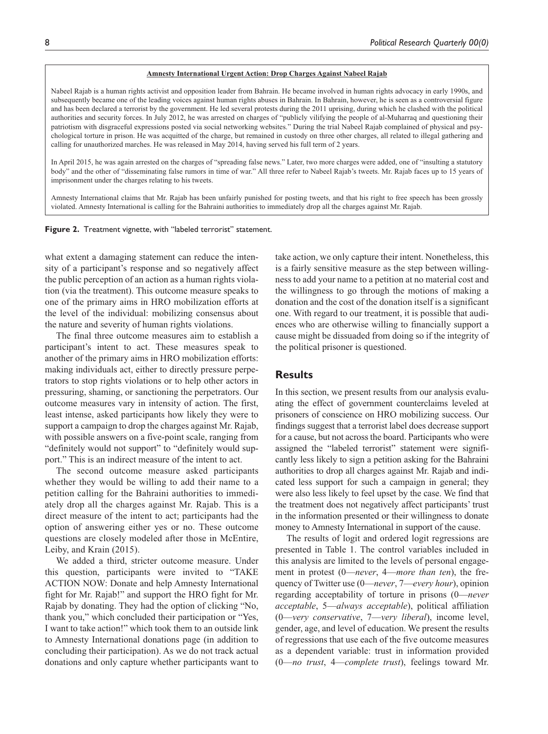#### **Amnesty International Urgent Action: Drop Charges Against Nabeel Rajab**

Nabeel Rajab is a human rights activist and opposition leader from Bahrain. He became involved in human rights advocacy in early 1990s, and subsequently became one of the leading voices against human rights abuses in Bahrain. In Bahrain, however, he is seen as a controversial figure and has been declared a terrorist by the government. He led several protests during the 2011 uprising, during which he clashed with the political authorities and security forces. In July 2012, he was arrested on charges of "publicly vilifying the people of al-Muharraq and questioning their patriotism with disgraceful expressions posted via social networking websites." During the trial Nabeel Rajab complained of physical and psychological torture in prison. He was acquitted of the charge, but remained in custody on three other charges, all related to illegal gathering and calling for unauthorized marches. He was released in May 2014, having served his full term of 2 years.

In April 2015, he was again arrested on the charges of "spreading false news." Later, two more charges were added, one of "insulting a statutory body" and the other of "disseminating false rumors in time of war." All three refer to Nabeel Rajab's tweets. Mr. Rajab faces up to 15 years of imprisonment under the charges relating to his tweets.

Amnesty International claims that Mr. Rajab has been unfairly punished for posting tweets, and that his right to free speech has been grossly violated. Amnesty International is calling for the Bahraini authorities to immediately drop all the charges against Mr. Rajab.

**Figure 2.** Treatment vignette, with "labeled terrorist" statement.

what extent a damaging statement can reduce the intensity of a participant's response and so negatively affect the public perception of an action as a human rights violation (via the treatment). This outcome measure speaks to one of the primary aims in HRO mobilization efforts at the level of the individual: mobilizing consensus about the nature and severity of human rights violations.

The final three outcome measures aim to establish a participant's intent to act. These measures speak to another of the primary aims in HRO mobilization efforts: making individuals act, either to directly pressure perpetrators to stop rights violations or to help other actors in pressuring, shaming, or sanctioning the perpetrators. Our outcome measures vary in intensity of action. The first, least intense, asked participants how likely they were to support a campaign to drop the charges against Mr. Rajab, with possible answers on a five-point scale, ranging from "definitely would not support" to "definitely would support." This is an indirect measure of the intent to act.

The second outcome measure asked participants whether they would be willing to add their name to a petition calling for the Bahraini authorities to immediately drop all the charges against Mr. Rajab. This is a direct measure of the intent to act; participants had the option of answering either yes or no. These outcome questions are closely modeled after those in McEntire, Leiby, and Krain (2015).

We added a third, stricter outcome measure. Under this question, participants were invited to "TAKE ACTION NOW: Donate and help Amnesty International fight for Mr. Rajab!" and support the HRO fight for Mr. Rajab by donating. They had the option of clicking "No, thank you," which concluded their participation or "Yes, I want to take action!" which took them to an outside link to Amnesty International donations page (in addition to concluding their participation). As we do not track actual donations and only capture whether participants want to take action, we only capture their intent. Nonetheless, this is a fairly sensitive measure as the step between willingness to add your name to a petition at no material cost and the willingness to go through the motions of making a donation and the cost of the donation itself is a significant one. With regard to our treatment, it is possible that audiences who are otherwise willing to financially support a cause might be dissuaded from doing so if the integrity of the political prisoner is questioned.

# **Results**

In this section, we present results from our analysis evaluating the effect of government counterclaims leveled at prisoners of conscience on HRO mobilizing success. Our findings suggest that a terrorist label does decrease support for a cause, but not across the board. Participants who were assigned the "labeled terrorist" statement were significantly less likely to sign a petition asking for the Bahraini authorities to drop all charges against Mr. Rajab and indicated less support for such a campaign in general; they were also less likely to feel upset by the case. We find that the treatment does not negatively affect participants' trust in the information presented or their willingness to donate money to Amnesty International in support of the cause.

The results of logit and ordered logit regressions are presented in Table 1. The control variables included in this analysis are limited to the levels of personal engagement in protest (0—*never*, 4—*more than ten*), the frequency of Twitter use (0—*never*, 7—*every hour*), opinion regarding acceptability of torture in prisons (0—*never acceptable*, 5—*always acceptable*), political affiliation (0—*very conservative*, 7—*very liberal*), income level, gender, age, and level of education. We present the results of regressions that use each of the five outcome measures as a dependent variable: trust in information provided (0—*no trust*, 4—*complete trust*), feelings toward Mr.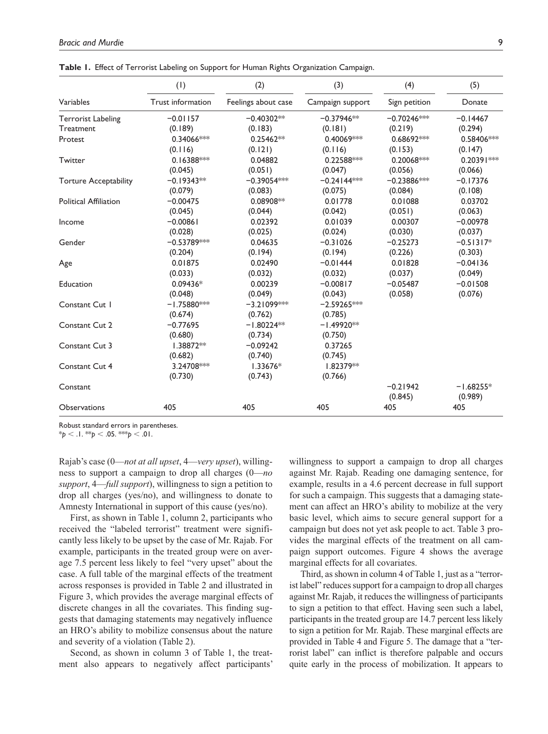|                              | (1)               | (2)                 | (3)              | (4)           | (5)          |  |
|------------------------------|-------------------|---------------------|------------------|---------------|--------------|--|
| Variables                    | Trust information | Feelings about case | Campaign support | Sign petition | Donate       |  |
| <b>Terrorist Labeling</b>    | $-0.01157$        | $-0.40302**$        | $-0.37946**$     | $-0.70246***$ | $-0.14467$   |  |
| Treatment                    | (0.189)           | (0.183)             | (0.181)          | (0.219)       | (0.294)      |  |
| Protest                      | $0.34066$ ***     | $0.25462**$         | 0.40069***       | 0.68692***    | 0.58406***   |  |
|                              | (0.116)           | (0.121)             | (0.116)          | (0.153)       | (0.147)      |  |
| Twitter                      | $0.16388***$      | 0.04882             | 0.22588***       | 0.20068***    | $0.20391***$ |  |
|                              | (0.045)           | (0.051)             | (0.047)          | (0.056)       | (0.066)      |  |
| <b>Torture Acceptability</b> | $-0.19343**$      | $-0.39054***$       | $-0.24144$ ***   | $-0.23886***$ | $-0.17376$   |  |
|                              | (0.079)           | (0.083)             | (0.075)          | (0.084)       | (0.108)      |  |
| <b>Political Affiliation</b> | $-0.00475$        | 0.08908**           | 0.01778          | 0.01088       | 0.03702      |  |
|                              | (0.045)           | (0.044)             | (0.042)          | (0.051)       | (0.063)      |  |
| Income                       | $-0.00861$        | 0.02392             | 0.01039          | 0.00307       | $-0.00978$   |  |
|                              | (0.028)           | (0.025)             | (0.024)          | (0.030)       | (0.037)      |  |
| Gender                       | $-0.53789$ **     | 0.04635             | $-0.31026$       | $-0.25273$    | $-0.51317*$  |  |
|                              | (0.204)           | (0.194)             | (0.194)          | (0.226)       | (0.303)      |  |
| Age                          | 0.01875           | 0.02490             | $-0.01444$       | 0.01828       | $-0.04136$   |  |
|                              | (0.033)           | (0.032)             | (0.032)          | (0.037)       | (0.049)      |  |
| Education                    | $0.09436*$        | 0.00239             | $-0.00817$       | $-0.05487$    | $-0.01508$   |  |
|                              | (0.048)           | (0.049)             | (0.043)          | (0.058)       | (0.076)      |  |
| Constant Cut                 | $-1.75880***$     | $-3.21099***$       | $-2.59265***$    |               |              |  |
|                              | (0.674)           | (0.762)             | (0.785)          |               |              |  |
| Constant Cut 2               | $-0.77695$        | $-1.80224**$        | $-1.49920**$     |               |              |  |
|                              | (0.680)           | (0.734)             | (0.750)          |               |              |  |
| Constant Cut 3               | $1.38872**$       | $-0.09242$          | 0.37265          |               |              |  |
|                              | (0.682)           | (0.740)             | (0.745)          |               |              |  |
| Constant Cut 4               | 3.24708***        | $1.33676*$          | 1.82379**        |               |              |  |
|                              | (0.730)           | (0.743)             | (0.766)          |               |              |  |
| Constant                     |                   |                     |                  | $-0.21942$    | $-1.68255*$  |  |
|                              |                   |                     |                  | (0.845)       | (0.989)      |  |
| Observations                 | 405               | 405                 | 405              | 405           | 405          |  |

**Table 1.** Effect of Terrorist Labeling on Support for Human Rights Organization Campaign.

Robust standard errors in parentheses.

 $*_{p}$  < .1.  $*_{p}$  < .05.  $*_{p}$  < .01.

Rajab's case (0—*not at all upset*, 4—*very upset*), willingness to support a campaign to drop all charges (0—*no support*, 4—*full support*), willingness to sign a petition to drop all charges (yes/no), and willingness to donate to Amnesty International in support of this cause (yes/no).

First, as shown in Table 1, column 2, participants who received the "labeled terrorist" treatment were significantly less likely to be upset by the case of Mr. Rajab. For example, participants in the treated group were on average 7.5 percent less likely to feel "very upset" about the case. A full table of the marginal effects of the treatment across responses is provided in Table 2 and illustrated in Figure 3, which provides the average marginal effects of discrete changes in all the covariates. This finding suggests that damaging statements may negatively influence an HRO's ability to mobilize consensus about the nature and severity of a violation (Table 2).

Second, as shown in column 3 of Table 1, the treatment also appears to negatively affect participants' willingness to support a campaign to drop all charges against Mr. Rajab. Reading one damaging sentence, for example, results in a 4.6 percent decrease in full support for such a campaign. This suggests that a damaging statement can affect an HRO's ability to mobilize at the very basic level, which aims to secure general support for a campaign but does not yet ask people to act. Table 3 provides the marginal effects of the treatment on all campaign support outcomes. Figure 4 shows the average marginal effects for all covariates.

Third, as shown in column 4 of Table 1, just as a "terrorist label" reduces support for a campaign to drop all charges against Mr. Rajab, it reduces the willingness of participants to sign a petition to that effect. Having seen such a label, participants in the treated group are 14.7 percent less likely to sign a petition for Mr. Rajab. These marginal effects are provided in Table 4 and Figure 5. The damage that a "terrorist label" can inflict is therefore palpable and occurs quite early in the process of mobilization. It appears to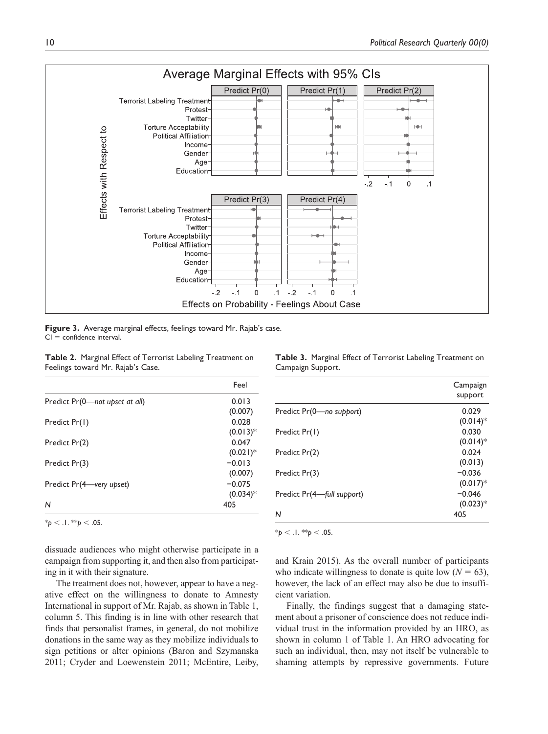

**Figure 3.** Average marginal effects, feelings toward Mr. Rajab's case.  $CI = confidence$  interval.

**Table 2.** Marginal Effect of Terrorist Labeling Treatment on Feelings toward Mr. Rajab's Case.

| Feel                   |
|------------------------|
| 0.013                  |
| (0.007)                |
| 0.028                  |
| $(0.013)*$             |
| 0.047                  |
| $(0.021)$ <sup>*</sup> |
| $-0.013$               |
| (0.007)                |
| $-0.075$               |
| $(0.034)*$             |
| 405                    |
|                        |

\**p* < .1. \*\**p* < .05.

dissuade audiences who might otherwise participate in a campaign from supporting it, and then also from participating in it with their signature.

The treatment does not, however, appear to have a negative effect on the willingness to donate to Amnesty International in support of Mr. Rajab, as shown in Table 1, column 5. This finding is in line with other research that finds that personalist frames, in general, do not mobilize donations in the same way as they mobilize individuals to sign petitions or alter opinions (Baron and Szymanska 2011; Cryder and Loewenstein 2011; McEntire, Leiby,

|                   | Table 3. Marginal Effect of Terrorist Labeling Treatment on |
|-------------------|-------------------------------------------------------------|
| Campaign Support. |                                                             |

|                            | Campaign<br>support    |
|----------------------------|------------------------|
| Predict Pr(0-no support)   | 0.029                  |
|                            | $(0.014)$ *            |
| Predict Pr(1)              | 0.030                  |
|                            | $(0.014)^*$            |
| Predict Pr(2)              | 0.024                  |
|                            | (0.013)                |
| Predict Pr(3)              | $-0.036$               |
|                            | $(0.017)$ <sup>*</sup> |
| Predict Pr(4-full support) | $-0.046$               |
|                            | $(0.023)*$             |
| Ν                          | 405                    |

\**p* < .1. \*\**p* < .05.

and Krain 2015). As the overall number of participants who indicate willingness to donate is quite low  $(N = 63)$ , however, the lack of an effect may also be due to insufficient variation.

Finally, the findings suggest that a damaging statement about a prisoner of conscience does not reduce individual trust in the information provided by an HRO, as shown in column 1 of Table 1. An HRO advocating for such an individual, then, may not itself be vulnerable to shaming attempts by repressive governments. Future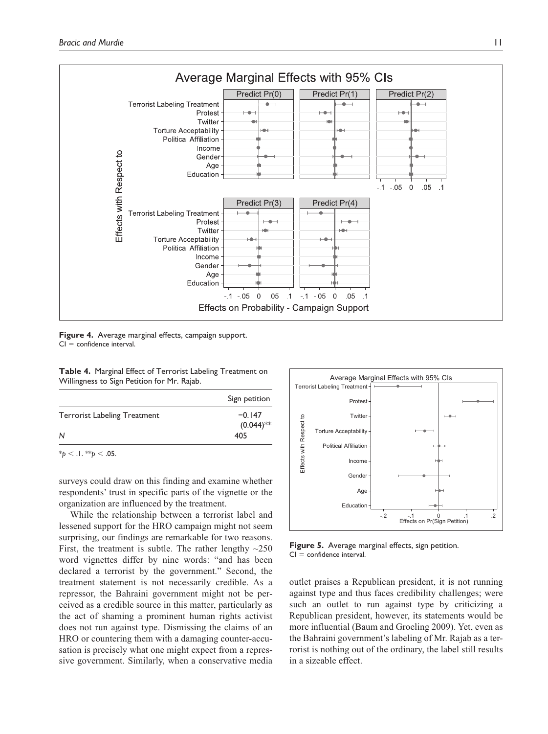

**Figure 4.** Average marginal effects, campaign support.  $Cl =$  confidence interval.

|  | Table 4. Marginal Effect of Terrorist Labeling Treatment on |  |
|--|-------------------------------------------------------------|--|
|  | Willingness to Sign Petition for Mr. Rajab.                 |  |

|                                     | Sign petition |
|-------------------------------------|---------------|
| <b>Terrorist Labeling Treatment</b> | $-0.147$      |
|                                     | $(0.044)$ **  |
| N                                   | 405           |
|                                     |               |

\**p* < .1. \*\**p* < .05.

surveys could draw on this finding and examine whether respondents' trust in specific parts of the vignette or the organization are influenced by the treatment.

While the relationship between a terrorist label and lessened support for the HRO campaign might not seem surprising, our findings are remarkable for two reasons. First, the treatment is subtle. The rather lengthy  $\sim$ 250 word vignettes differ by nine words: "and has been declared a terrorist by the government." Second, the treatment statement is not necessarily credible. As a repressor, the Bahraini government might not be perceived as a credible source in this matter, particularly as the act of shaming a prominent human rights activist does not run against type. Dismissing the claims of an HRO or countering them with a damaging counter-accusation is precisely what one might expect from a repressive government. Similarly, when a conservative media



**Figure 5.** Average marginal effects, sign petition. CI = confidence interval.

outlet praises a Republican president, it is not running against type and thus faces credibility challenges; were such an outlet to run against type by criticizing a Republican president, however, its statements would be more influential (Baum and Groeling 2009). Yet, even as the Bahraini government's labeling of Mr. Rajab as a terrorist is nothing out of the ordinary, the label still results in a sizeable effect.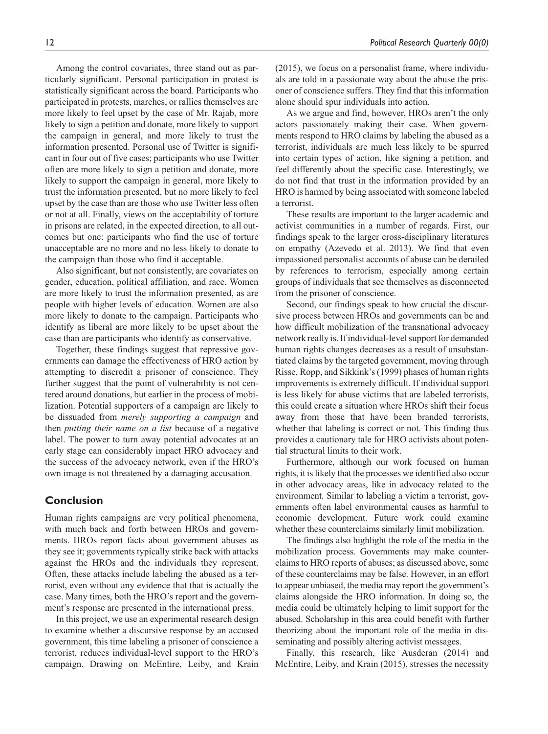Among the control covariates, three stand out as particularly significant. Personal participation in protest is statistically significant across the board. Participants who participated in protests, marches, or rallies themselves are more likely to feel upset by the case of Mr. Rajab, more likely to sign a petition and donate, more likely to support the campaign in general, and more likely to trust the information presented. Personal use of Twitter is significant in four out of five cases; participants who use Twitter often are more likely to sign a petition and donate, more likely to support the campaign in general, more likely to trust the information presented, but no more likely to feel upset by the case than are those who use Twitter less often or not at all. Finally, views on the acceptability of torture in prisons are related, in the expected direction, to all outcomes but one: participants who find the use of torture unacceptable are no more and no less likely to donate to the campaign than those who find it acceptable.

Also significant, but not consistently, are covariates on gender, education, political affiliation, and race. Women are more likely to trust the information presented, as are people with higher levels of education. Women are also more likely to donate to the campaign. Participants who identify as liberal are more likely to be upset about the case than are participants who identify as conservative.

Together, these findings suggest that repressive governments can damage the effectiveness of HRO action by attempting to discredit a prisoner of conscience. They further suggest that the point of vulnerability is not centered around donations, but earlier in the process of mobilization. Potential supporters of a campaign are likely to be dissuaded from *merely supporting a campaign* and then *putting their name on a list* because of a negative label. The power to turn away potential advocates at an early stage can considerably impact HRO advocacy and the success of the advocacy network, even if the HRO's own image is not threatened by a damaging accusation.

# **Conclusion**

Human rights campaigns are very political phenomena, with much back and forth between HROs and governments. HROs report facts about government abuses as they see it; governments typically strike back with attacks against the HROs and the individuals they represent. Often, these attacks include labeling the abused as a terrorist, even without any evidence that that is actually the case. Many times, both the HRO's report and the government's response are presented in the international press.

In this project, we use an experimental research design to examine whether a discursive response by an accused government, this time labeling a prisoner of conscience a terrorist, reduces individual-level support to the HRO's campaign. Drawing on McEntire, Leiby, and Krain (2015), we focus on a personalist frame, where individuals are told in a passionate way about the abuse the prisoner of conscience suffers. They find that this information alone should spur individuals into action.

As we argue and find, however, HROs aren't the only actors passionately making their case. When governments respond to HRO claims by labeling the abused as a terrorist, individuals are much less likely to be spurred into certain types of action, like signing a petition, and feel differently about the specific case. Interestingly, we do not find that trust in the information provided by an HRO is harmed by being associated with someone labeled a terrorist.

These results are important to the larger academic and activist communities in a number of regards. First, our findings speak to the larger cross-disciplinary literatures on empathy (Azevedo et al. 2013). We find that even impassioned personalist accounts of abuse can be derailed by references to terrorism, especially among certain groups of individuals that see themselves as disconnected from the prisoner of conscience.

Second, our findings speak to how crucial the discursive process between HROs and governments can be and how difficult mobilization of the transnational advocacy network really is. If individual-level support for demanded human rights changes decreases as a result of unsubstantiated claims by the targeted government, moving through Risse, Ropp, and Sikkink's (1999) phases of human rights improvements is extremely difficult. If individual support is less likely for abuse victims that are labeled terrorists, this could create a situation where HROs shift their focus away from those that have been branded terrorists, whether that labeling is correct or not. This finding thus provides a cautionary tale for HRO activists about potential structural limits to their work.

Furthermore, although our work focused on human rights, it is likely that the processes we identified also occur in other advocacy areas, like in advocacy related to the environment. Similar to labeling a victim a terrorist, governments often label environmental causes as harmful to economic development. Future work could examine whether these counterclaims similarly limit mobilization.

The findings also highlight the role of the media in the mobilization process. Governments may make counterclaims to HRO reports of abuses; as discussed above, some of these counterclaims may be false. However, in an effort to appear unbiased, the media may report the government's claims alongside the HRO information. In doing so, the media could be ultimately helping to limit support for the abused. Scholarship in this area could benefit with further theorizing about the important role of the media in disseminating and possibly altering activist messages.

Finally, this research, like Ausderan (2014) and McEntire, Leiby, and Krain (2015), stresses the necessity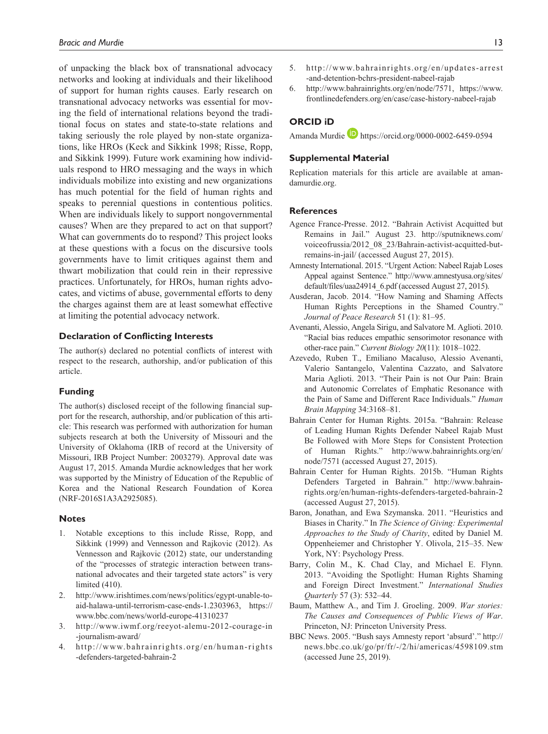of unpacking the black box of transnational advocacy networks and looking at individuals and their likelihood of support for human rights causes. Early research on transnational advocacy networks was essential for moving the field of international relations beyond the traditional focus on states and state-to-state relations and taking seriously the role played by non-state organizations, like HROs (Keck and Sikkink 1998; Risse, Ropp, and Sikkink 1999). Future work examining how individuals respond to HRO messaging and the ways in which individuals mobilize into existing and new organizations has much potential for the field of human rights and speaks to perennial questions in contentious politics. When are individuals likely to support nongovernmental causes? When are they prepared to act on that support? What can governments do to respond? This project looks at these questions with a focus on the discursive tools governments have to limit critiques against them and thwart mobilization that could rein in their repressive practices. Unfortunately, for HROs, human rights advocates, and victims of abuse, governmental efforts to deny the charges against them are at least somewhat effective at limiting the potential advocacy network.

#### **Declaration of Conflicting Interests**

The author(s) declared no potential conflicts of interest with respect to the research, authorship, and/or publication of this article.

### **Funding**

The author(s) disclosed receipt of the following financial support for the research, authorship, and/or publication of this article: This research was performed with authorization for human subjects research at both the University of Missouri and the University of Oklahoma (IRB of record at the University of Missouri, IRB Project Number: 2003279). Approval date was August 17, 2015. Amanda Murdie acknowledges that her work was supported by the Ministry of Education of the Republic of Korea and the National Research Foundation of Korea (NRF-2016S1A3A2925085).

#### **Notes**

- 1. Notable exceptions to this include Risse, Ropp, and Sikkink (1999) and Vennesson and Rajkovic (2012). As Vennesson and Rajkovic (2012) state, our understanding of the "processes of strategic interaction between transnational advocates and their targeted state actors" is very limited (410).
- 2. [http://www.irishtimes.com/news/politics/egypt-unable-to](http://www.irishtimes.com/news/politics/egypt-unable-to-aid-halawa-until-terrorism-case-ends-1.2303963)[aid-halawa-until-terrorism-case-ends-1.2303963](http://www.irishtimes.com/news/politics/egypt-unable-to-aid-halawa-until-terrorism-case-ends-1.2303963), https:// www.bbc.com/news/world-europe-41310237
- 3. [http://www.iwmf.org/reeyot-alemu-2012-courage-in](http://www.iwmf.org/reeyot-alemu-2012-courage-in-journalism-award/) [-journalism-award/](http://www.iwmf.org/reeyot-alemu-2012-courage-in-journalism-award/)
- 4. [http://www.bahrainrights.org/en/human-rights](http://www.bahrainrights.org/en/human-rights-defenders-targeted-bahrain-2) -defenders-targeted-bahrain-2
- 5. [http://www.bahrainrights.org/en/updates-arrest](http://www.bahrainrights.org/en/updates-arrest-and-detention-bchrs-president-nabeel-rajab) -and-detention-bchrs-president-nabeel-rajab
- 6. [http://www.bahrainrights.org/en/node/7571, https://www.](https://www.frontlinedefenders.org/en/case/case-history-nabeel-rajab) frontlinedefenders.org/en/case/case-history-nabeel-rajab

# **ORCID iD**

Amanda Murdie https://orcid.org/0000-0002-6459-0594

## **Supplemental Material**

Replication materials for this article are available at amandamurdie.org.

## **References**

- Agence France-Presse. 2012. "Bahrain Activist Acquitted but Remains in Jail." August 23. [http://sputniknews.com/](http://sputniknews.com/voiceofrussia/2012_08_23/Bahrain-activist-acquitted-but-remains-in-jail/) [voiceofrussia/2012\\_08\\_23/Bahrain-activist-acquitted-but](http://sputniknews.com/voiceofrussia/2012_08_23/Bahrain-activist-acquitted-but-remains-in-jail/)[remains-in-jail/](http://sputniknews.com/voiceofrussia/2012_08_23/Bahrain-activist-acquitted-but-remains-in-jail/) (accessed August 27, 2015).
- Amnesty International. 2015. "Urgent Action: Nabeel Rajab Loses Appeal against Sentence." [http://www.amnestyusa.org/sites/](http://www.amnestyusa.org/sites/default/files/uaa24914_6.pdf) [default/files/uaa24914\\_6.pdf](http://www.amnestyusa.org/sites/default/files/uaa24914_6.pdf) (accessed August 27, 2015).
- Ausderan, Jacob. 2014. "How Naming and Shaming Affects Human Rights Perceptions in the Shamed Country." *Journal of Peace Research* 51 (1): 81–95.
- Avenanti, Alessio, Angela Sirigu, and Salvatore M. Aglioti. 2010. "Racial bias reduces empathic sensorimotor resonance with other-race pain." *Current Biology 20*(11): 1018–1022.
- Azevedo, Ruben T., Emiliano Macaluso, Alessio Avenanti, Valerio Santangelo, Valentina Cazzato, and Salvatore Maria Aglioti. 2013. "Their Pain is not Our Pain: Brain and Autonomic Correlates of Emphatic Resonance with the Pain of Same and Different Race Individuals." *Human Brain Mapping* 34:3168–81.
- Bahrain Center for Human Rights. 2015a. "Bahrain: Release of Leading Human Rights Defender Nabeel Rajab Must Be Followed with More Steps for Consistent Protection of Human Rights." [http://www.bahrainrights.org/en/](http://www.bahrainrights.org/en/node/7571) [node/7571](http://www.bahrainrights.org/en/node/7571) (accessed August 27, 2015).
- Bahrain Center for Human Rights. 2015b. "Human Rights Defenders Targeted in Bahrain." [http://www.bahrain](http://www.bahrainrights.org/en/human-rights-defenders-targeted-bahrain-2)[rights.org/en/human-rights-defenders-targeted-bahrain-2](http://www.bahrainrights.org/en/human-rights-defenders-targeted-bahrain-2)  (accessed August 27, 2015).
- Baron, Jonathan, and Ewa Szymanska. 2011. "Heuristics and Biases in Charity." In *The Science of Giving: Experimental Approaches to the Study of Charity*, edited by Daniel M. Oppenheiemer and Christopher Y. Olivola, 215–35. New York, NY: Psychology Press.
- Barry, Colin M., K. Chad Clay, and Michael E. Flynn. 2013. "Avoiding the Spotlight: Human Rights Shaming and Foreign Direct Investment." *International Studies Quarterly* 57 (3): 532–44.
- Baum, Matthew A., and Tim J. Groeling. 2009. *War stories: The Causes and Consequences of Public Views of War*. Princeton, NJ: Princeton University Press.
- BBC News. 2005. "Bush says Amnesty report 'absurd'." http:// news.bbc.co.uk/go/pr/fr/-/2/hi/americas/4598109.stm (accessed June 25, 2019).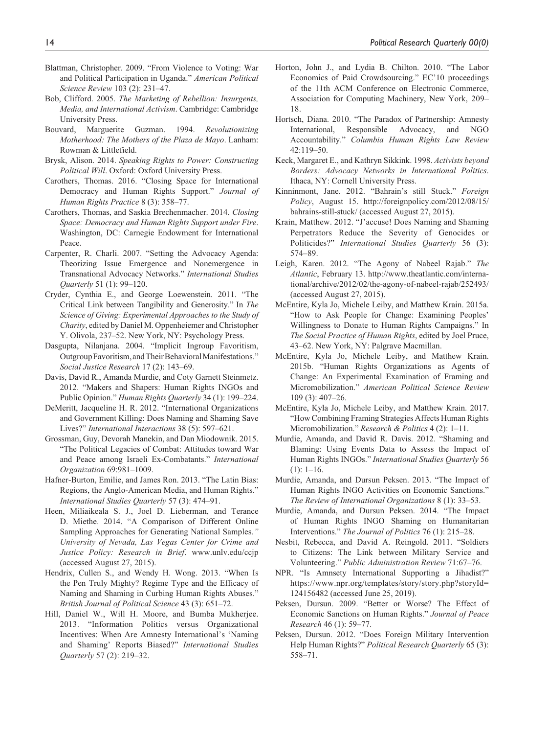- Blattman, Christopher. 2009. "From Violence to Voting: War and Political Participation in Uganda." *American Political Science Review* 103 (2): 231–47.
- Bob, Clifford. 2005. *The Marketing of Rebellion: Insurgents, Media, and International Activism*. Cambridge: Cambridge University Press.
- Bouvard, Marguerite Guzman. 1994. *Revolutionizing Motherhood: The Mothers of the Plaza de Mayo*. Lanham: Rowman & Littlefield.
- Brysk, Alison. 2014. *Speaking Rights to Power: Constructing Political Will*. Oxford: Oxford University Press.
- Carothers, Thomas. 2016. "Closing Space for International Democracy and Human Rights Support." *Journal of Human Rights Practice* 8 (3): 358–77.
- Carothers, Thomas, and Saskia Brechenmacher. 2014. *Closing Space: Democracy and Human Rights Support under Fire*. Washington, DC: Carnegie Endowment for International Peace.
- Carpenter, R. Charli. 2007. "Setting the Advocacy Agenda: Theorizing Issue Emergence and Nonemergence in Transnational Advocacy Networks." *International Studies Quarterly* 51 (1): 99–120.
- Cryder, Cynthia E., and George Loewenstein. 2011. "The Critical Link between Tangibility and Generosity." In *The Science of Giving: Experimental Approaches to the Study of Charity*, edited by Daniel M. Oppenheiemer and Christopher Y. Olivola, 237–52. New York, NY: Psychology Press.
- Dasgupta, Nilanjana. 2004. "Implicit Ingroup Favoritism, Outgroup Favoritism, and Their Behavioral Manifestations." *Social Justice Research* 17 (2): 143–69.
- Davis, David R., Amanda Murdie, and Coty Garnett Steinmetz. 2012. "Makers and Shapers: Human Rights INGOs and Public Opinion." *Human Rights Quarterly* 34 (1): 199–224.
- DeMeritt, Jacqueline H. R. 2012. "International Organizations and Government Killing: Does Naming and Shaming Save Lives?" *International Interactions* 38 (5): 597–621.
- Grossman, Guy, Devorah Manekin, and Dan Miodownik. 2015. "The Political Legacies of Combat: Attitudes toward War and Peace among Israeli Ex-Combatants." *International Organization* 69:981–1009.
- Hafner-Burton, Emilie, and James Ron. 2013. "The Latin Bias: Regions, the Anglo-American Media, and Human Rights." *International Studies Quarterly* 57 (3): 474–91.
- Heen, Miliaikeala S. J., Joel D. Lieberman, and Terance D. Miethe. 2014. "A Comparison of Different Online Sampling Approaches for Generating National Samples.*" University of Nevada, Las Vegas Center for Crime and Justice Policy: Research in Brief*. <www.unlv.edu/ccjp> (accessed August 27, 2015).
- Hendrix, Cullen S., and Wendy H. Wong. 2013. "When Is the Pen Truly Mighty? Regime Type and the Efficacy of Naming and Shaming in Curbing Human Rights Abuses." *British Journal of Political Science* 43 (3): 651–72.
- Hill, Daniel W., Will H. Moore, and Bumba Mukherjee. 2013. "Information Politics versus Organizational Incentives: When Are Amnesty International's 'Naming and Shaming' Reports Biased?" *International Studies Quarterly* 57 (2): 219–32.
- Horton, John J., and Lydia B. Chilton. 2010. "The Labor Economics of Paid Crowdsourcing." EC'10 proceedings of the 11th ACM Conference on Electronic Commerce, Association for Computing Machinery, New York, 209– 18.
- Hortsch, Diana. 2010. "The Paradox of Partnership: Amnesty International, Responsible Advocacy, and NGO Accountability." *Columbia Human Rights Law Review* 42:119–50.
- Keck, Margaret E., and Kathryn Sikkink. 1998. *Activists beyond Borders: Advocacy Networks in International Politics*. Ithaca, NY: Cornell University Press.
- Kinninmont, Jane. 2012. "Bahrain's still Stuck." *Foreign Policy*, August 15. [http://foreignpolicy.com/2012/08/15/](http://foreignpolicy.com/2012/08/15/bahrains-still-stuck/) [bahrains-still-stuck/](http://foreignpolicy.com/2012/08/15/bahrains-still-stuck/) (accessed August 27, 2015).
- Krain, Matthew. 2012. "J'accuse! Does Naming and Shaming Perpetrators Reduce the Severity of Genocides or Politicides?" *International Studies Quarterly* 56 (3): 574–89.
- Leigh, Karen. 2012. "The Agony of Nabeel Rajab." *The Atlantic*, February 13. [http://www.theatlantic.com/interna](http://www.theatlantic.com/international/archive/2012/02/the-agony-of-nabeel-rajab/252493/)[tional/archive/2012/02/the-agony-of-nabeel-rajab/252493/](http://www.theatlantic.com/international/archive/2012/02/the-agony-of-nabeel-rajab/252493/)  (accessed August 27, 2015).
- McEntire, Kyla Jo, Michele Leiby, and Matthew Krain. 2015a. "How to Ask People for Change: Examining Peoples' Willingness to Donate to Human Rights Campaigns." In *The Social Practice of Human Rights*, edited by Joel Pruce, 43–62. New York, NY: Palgrave Macmillan.
- McEntire, Kyla Jo, Michele Leiby, and Matthew Krain. 2015b. "Human Rights Organizations as Agents of Change: An Experimental Examination of Framing and Micromobilization." *American Political Science Review* 109 (3): 407–26.
- McEntire, Kyla Jo, Michele Leiby, and Matthew Krain. 2017. "How Combining Framing Strategies Affects Human Rights Micromobilization." *Research & Politics* 4 (2): 1–11.
- Murdie, Amanda, and David R. Davis. 2012. "Shaming and Blaming: Using Events Data to Assess the Impact of Human Rights INGOs." *International Studies Quarterly* 56  $(1): 1-16.$
- Murdie, Amanda, and Dursun Peksen. 2013. "The Impact of Human Rights INGO Activities on Economic Sanctions." *The Review of International Organizations* 8 (1): 33–53.
- Murdie, Amanda, and Dursun Peksen. 2014. "The Impact of Human Rights INGO Shaming on Humanitarian Interventions." *The Journal of Politics* 76 (1): 215–28.
- Nesbit, Rebecca, and David A. Reingold. 2011. "Soldiers to Citizens: The Link between Military Service and Volunteering." *Public Administration Review* 71:67–76.
- NPR. "Is Amnsety International Supporting a Jihadist?" [https://www.npr.org/templates/story/story.php?storyId=](https://www.npr.org/templates/story/story.php?storyId=124156482) 124156482 (accessed June 25, 2019).
- Peksen, Dursun. 2009. "Better or Worse? The Effect of Economic Sanctions on Human Rights." *Journal of Peace Research* 46 (1): 59–77.
- Peksen, Dursun. 2012. "Does Foreign Military Intervention Help Human Rights?" *Political Research Quarterly* 65 (3): 558–71.